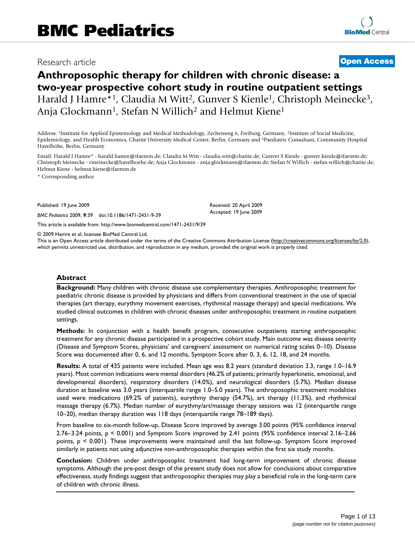# Research article **[Open Access](http://www.biomedcentral.com/info/about/charter/)**

# **Anthroposophic therapy for children with chronic disease: a two-year prospective cohort study in routine outpatient settings** Harald J Hamre\*<sup>1</sup>, Claudia M Witt<sup>2</sup>, Gunver S Kienle<sup>1</sup>, Christoph Meinecke<sup>3</sup>, Anja Glockmann<sup>1</sup>, Stefan N Willich<sup>2</sup> and Helmut Kiene<sup>1</sup>

Address: 1Institute for Applied Epistemology and Medical Methodology, Zechenweg 6, Freiburg, Germany, 2Institute of Social Medicine, Epidemiology, and Health Economics, Charité University Medical Center, Berlin, Germany and 3Paediatric Consultant, Community Hospital Havelhöhe, Berlin, Germany

Email: Harald J Hamre\* - harald.hamre@ifaemm.de; Claudia M Witt - claudia.witt@charite.de; Gunver S Kienle - gunver.kienle@ifaemm.de; Christoph Meinecke - cmeinecke@havelhoehe.de; Anja Glockmann - anja.glockmann@ifaemm.de; Stefan N Willich - stefan.willich@charite.de; Helmut Kiene - helmut.kiene@ifaemm.de

> Received: 20 April 2009 Accepted: 19 June 2009

\* Corresponding author

Published: 19 June 2009

*BMC Pediatrics* 2009, **9**:39 doi:10.1186/1471-2431-9-39

[This article is available from: http://www.biomedcentral.com/1471-2431/9/39](http://www.biomedcentral.com/1471-2431/9/39)

© 2009 Hamre et al; licensee BioMed Central Ltd.

This is an Open Access article distributed under the terms of the Creative Commons Attribution License [\(http://creativecommons.org/licenses/by/2.0\)](http://creativecommons.org/licenses/by/2.0), which permits unrestricted use, distribution, and reproduction in any medium, provided the original work is properly cited.

### **Abstract**

**Background:** Many children with chronic disease use complementary therapies. Anthroposophic treatment for paediatric chronic disease is provided by physicians and differs from conventional treatment in the use of special therapies (art therapy, eurythmy movement exercises, rhythmical massage therapy) and special medications. We studied clinical outcomes in children with chronic diseases under anthroposophic treatment in routine outpatient settings.

**Methods:** In conjunction with a health benefit program, consecutive outpatients starting anthroposophic treatment for any chronic disease participated in a prospective cohort study. Main outcome was disease severity (Disease and Symptom Scores, physicians' and caregivers' assessment on numerical rating scales 0–10). Disease Score was documented after 0, 6, and 12 months, Symptom Score after 0, 3, 6, 12, 18, and 24 months.

**Results:** A total of 435 patients were included. Mean age was 8.2 years (standard deviation 3.3, range 1.0–16.9 years). Most common indications were mental disorders (46.2% of patients; primarily hyperkinetic, emotional, and developmental disorders), respiratory disorders (14.0%), and neurological disorders (5.7%). Median disease duration at baseline was 3.0 years (interquartile range 1.0–5.0 years). The anthroposophic treatment modalities used were medications (69.2% of patients), eurythmy therapy (54.7%), art therapy (11.3%), and rhythmical massage therapy (6.7%). Median number of eurythmy/art/massage therapy sessions was 12 (interquartile range 10–20), median therapy duration was 118 days (interquartile range 78–189 days).

From baseline to six-month follow-up, Disease Score improved by average 3.00 points (95% confidence interval 2.76–3.24 points, p < 0.001) and Symptom Score improved by 2.41 points (95% confidence interval 2.16–2.66 points, p < 0.001). These improvements were maintained until the last follow-up. Symptom Score improved similarly in patients not using adjunctive non-anthroposophic therapies within the first six study months.

**Conclusion:** Children under anthroposophic treatment had long-term improvement of chronic disease symptoms. Although the pre-post design of the present study does not allow for conclusions about comparative effectiveness, study findings suggest that anthroposophic therapies may play a beneficial role in the long-term care of children with chronic illness.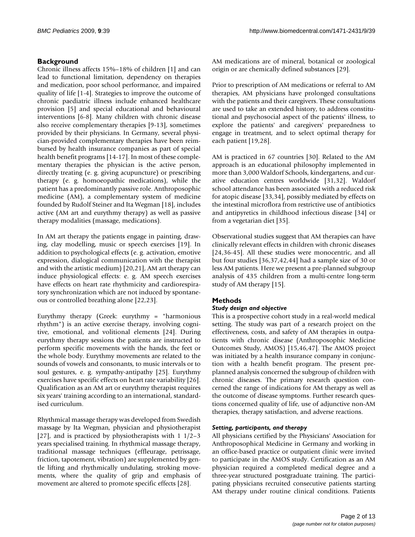# **Background**

Chronic illness affects 15%–18% of children [1] and can lead to functional limitation, dependency on therapies and medication, poor school performance, and impaired quality of life [1-4]. Strategies to improve the outcome of chronic paediatric illness include enhanced healthcare provision [5] and special educational and behavioural interventions [6-8]. Many children with chronic disease also receive complementary therapies [9-13], sometimes provided by their physicians. In Germany, several physician-provided complementary therapies have been reimbursed by health insurance companies as part of special health benefit programs [14-17]. In most of these complementary therapies the physician is the active person, directly treating (e. g. giving acupuncture) or prescribing therapy (e. g. homoeopathic medications), while the patient has a predominantly passive role. Anthroposophic medicine (AM), a complementary system of medicine founded by Rudolf Steiner and Ita Wegman [18], includes active (AM art and eurythmy therapy) as well as passive therapy modalities (massage, medications).

In AM art therapy the patients engage in painting, drawing, clay modelling, music or speech exercises [19]. In addition to psychological effects (e. g. activation, emotive expression, dialogical communication with the therapist and with the artistic medium) [20,21], AM art therapy can induce physiological effects: e. g. AM speech exercises have effects on heart rate rhythmicity and cardiorespiratory synchronization which are not induced by spontaneous or controlled breathing alone [22,23].

Eurythmy therapy (Greek: eurythmy = "harmonious rhythm") is an active exercise therapy, involving cognitive, emotional, and volitional elements [24]. During eurythmy therapy sessions the patients are instructed to perform specific movements with the hands, the feet or the whole body. Eurythmy movements are related to the sounds of vowels and consonants, to music intervals or to soul gestures, e. g. sympathy-antipathy [25]. Eurythmy exercises have specific effects on heart rate variability [26]. Qualification as an AM art or eurythmy therapist requires six years' training according to an international, standardised curriculum.

Rhythmical massage therapy was developed from Swedish massage by Ita Wegman, physician and physiotherapist [27], and is practiced by physiotherapists with 1 1/2–3 years specialised training. In rhythmical massage therapy, traditional massage techniques (effleurage, petrissage, friction, tapotement, vibration) are supplemented by gentle lifting and rhythmically undulating, stroking movements, where the quality of grip and emphasis of movement are altered to promote specific effects [28].

AM medications are of mineral, botanical or zoological origin or are chemically defined substances [29].

Prior to prescription of AM medications or referral to AM therapies, AM physicians have prolonged consultations with the patients and their caregivers. These consultations are used to take an extended history, to address constitutional and psychosocial aspect of the patients' illness, to explore the patients' and caregivers' preparedness to engage in treatment, and to select optimal therapy for each patient [19,28].

AM is practiced in 67 countries [30]. Related to the AM approach is an educational philosophy implemented in more than 3,000 Waldorf Schools, kindergartens, and curative education centres worldwide [31,32]. Waldorf school attendance has been associated with a reduced risk for atopic disease [33,34], possibly mediated by effects on the intestinal microflora from restrictive use of antibiotics and antipyretics in childhood infectious disease [34] or from a vegetarian diet [35].

Observational studies suggest that AM therapies can have clinically relevant effects in children with chronic diseases [24,36-45]. All these studies were monocentric, and all but four studies [36,37,42,44] had a sample size of 30 or less AM patients. Here we present a pre-planned subgroup analysis of 435 children from a multi-centre long-term study of AM therapy [15].

# **Methods**

# *Study design and objective*

This is a prospective cohort study in a real-world medical setting. The study was part of a research project on the effectiveness, costs, and safety of AM therapies in outpatients with chronic disease (Anthroposophic Medicine Outcomes Study, AMOS) [15,46,47]. The AMOS project was initiated by a health insurance company in conjunction with a health benefit program. The present preplanned analysis concerned the subgroup of children with chronic diseases. The primary research question concerned the range of indications for AM therapy as well as the outcome of disease symptoms. Further research questions concerned quality of life, use of adjunctive non-AM therapies, therapy satisfaction, and adverse reactions.

# *Setting, participants, and therapy*

All physicians certified by the Physicians' Association for Anthroposophical Medicine in Germany and working in an office-based practice or outpatient clinic were invited to participate in the AMOS study. Certification as an AM physician required a completed medical degree and a three-year structured postgraduate training. The participating physicians recruited consecutive patients starting AM therapy under routine clinical conditions. Patients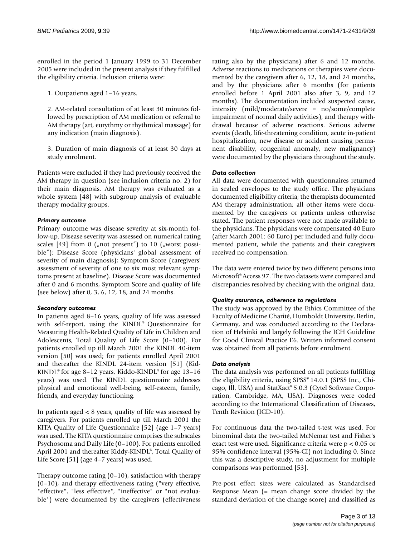enrolled in the period 1 January 1999 to 31 December 2005 were included in the present analysis if they fulfilled the eligibility criteria. Inclusion criteria were:

1. Outpatients aged 1–16 years.

2. AM-related consultation of at least 30 minutes followed by prescription of AM medication or referral to AM therapy (art, eurythmy or rhythmical massage) for any indication (main diagnosis).

3. Duration of main diagnosis of at least 30 days at study enrolment.

Patients were excluded if they had previously received the AM therapy in question (see inclusion criteria no. 2) for their main diagnosis. AM therapy was evaluated as a whole system [48] with subgroup analysis of evaluable therapy modality groups.

# *Primary outcome*

Primary outcome was disease severity at six-month follow-up. Disease severity was assessed on numerical rating scales [49] from 0 ("not present") to 10 ("worst possible"): Disease Score (physicians' global assessment of severity of main diagnosis); Symptom Score (caregivers' assessment of severity of one to six most relevant symptoms present at baseline). Disease Score was documented after 0 and 6 months, Symptom Score and quality of life (see below) after 0, 3, 6, 12, 18, and 24 months.

# *Secondary outcomes*

In patients aged 8–16 years, quality of life was assessed with self-report, using the KINDL® Questionnaire for Measuring Health-Related Quality of Life in Children and Adolescents, Total Quality of Life Score (0–100). For patients enrolled up till March 2001 the KINDL 40-item version [50] was used; for patients enrolled April 2001 and thereafter the KINDL 24-item version [51] (Kid-KINDL® for age 8–12 years, Kiddo-KINDL® for age 13–16 years) was used. The KINDL questionnaire addresses physical and emotional well-being, self-esteem, family, friends, and everyday functioning.

In patients aged < 8 years, quality of life was assessed by caregivers. For patients enrolled up till March 2001 the KITA Quality of Life Questionnaire [52] (age 1–7 years) was used. The KITA questionnaire comprises the subscales Psychosoma and Daily Life (0–100). For patients enrolled April 2001 and thereafter Kiddy-KINDL®, Total Quality of Life Score [51] (age 4–7 years) was used.

Therapy outcome rating  $(0-10)$ , satisfaction with therapy (0–10), and therapy effectiveness rating ("very effective, "effective", "less effective", "ineffective" or "not evaluable") were documented by the caregivers (effectiveness

rating also by the physicians) after 6 and 12 months. Adverse reactions to medications or therapies were documented by the caregivers after 6, 12, 18, and 24 months, and by the physicians after 6 months (for patients enrolled before 1 April 2001 also after 3, 9, and 12 months). The documentation included suspected cause, intensity (mild/moderate/severe = no/some/complete impairment of normal daily activities), and therapy withdrawal because of adverse reactions. Serious adverse events (death, life-threatening condition, acute in-patient hospitalization, new disease or accident causing permanent disability, congenital anomaly, new malignancy) were documented by the physicians throughout the study.

# *Data collection*

All data were documented with questionnaires returned in sealed envelopes to the study office. The physicians documented eligibility criteria; the therapists documented AM therapy administration; all other items were documented by the caregivers or patients unless otherwise stated. The patient responses were not made available to the physicians. The physicians were compensated 40 Euro (after March 2001: 60 Euro) per included and fully documented patient, while the patients and their caregivers received no compensation.

The data were entered twice by two different persons into Microsoft® Access 97. The two datasets were compared and discrepancies resolved by checking with the original data.

# *Quality assurance, adherence to regulations*

The study was approved by the Ethics Committee of the Faculty of Medicine Charité, Humboldt University, Berlin, Germany, and was conducted according to the Declaration of Helsinki and largely following the ICH Guideline for Good Clinical Practice E6. Written informed consent was obtained from all patients before enrolment.

# *Data analysis*

The data analysis was performed on all patients fulfilling the eligibility criteria, using SPSS® 14.0.1 (SPSS Inc., Chicago, Ill, USA) and StatXact® 5.0.3 (Cytel Software Corporation, Cambridge, MA, USA). Diagnoses were coded according to the International Classification of Diseases, Tenth Revision (ICD-10).

For continuous data the two-tailed t-test was used. For binominal data the two-tailed McNemar test and Fisher's exact test were used. Significance criteria were p < 0.05 or 95% confidence interval (95%-CI) not including 0. Since this was a descriptive study, no adjustment for multiple comparisons was performed [53].

Pre-post effect sizes were calculated as Standardised Response Mean (= mean change score divided by the standard deviation of the change score) and classified as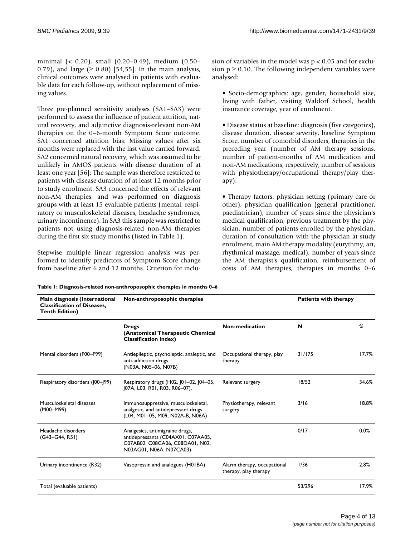minimal (< 0.20), small (0.20–0.49), medium (0.50– 0.79), and large ( $\geq$  0.80) [54,55]. In the main analysis, clinical outcomes were analysed in patients with evaluable data for each follow-up, without replacement of missing values.

Three pre-planned sensitivity analyses (SA1–SA3) were performed to assess the influence of patient attrition, natural recovery, and adjunctive diagnosis-relevant non-AM therapies on the 0–6-month Symptom Score outcome. SA1 concerned attrition bias: Missing values after six months were replaced with the last value carried forward. SA2 concerned natural recovery, which was assumed to be unlikely in AMOS patients with disease duration of at least one year [56]: The sample was therefore restricted to patients with disease duration of at least 12 months prior to study enrolment. SA3 concerned the effects of relevant non-AM therapies, and was performed on diagnosis groups with at least 15 evaluable patients (mental, respiratory or musculoskeletal diseases, headache syndromes, urinary incontinence). In SA3 this sample was restricted to patients not using diagnosis-related non-AM therapies during the first six study months (listed in Table 1).

Stepwise multiple linear regression analysis was performed to identify predictors of Symptom Score change from baseline after 6 and 12 months. Criterion for inclusion of variables in the model was  $p < 0.05$  and for exclusion  $p \ge 0.10$ . The following independent variables were analysed:

• Socio-demographics: age, gender, household size, living with father, visiting Waldorf School, health insurance coverage, year of enrolment.

• Disease status at baseline: diagnosis (five categories), disease duration, disease severity, baseline Symptom Score, number of comorbid disorders, therapies in the preceding year (number of AM therapy sessions, number of patient-months of AM medication and non-AM medications, respectively, number of sessions with physiotherapy/occupational therapy/play therapy).

• Therapy factors: physician setting (primary care or other), physician qualification (general practitioner, paediatrician), number of years since the physician's medical qualification, previous treatment by the physician, number of patients enrolled by the physician, duration of consultation with the physician at study enrolment, main AM therapy modality (eurythmy, art, rhythmical massage, medical), number of years since the AM therapist's qualification, reimbursement of costs of AM therapies, therapies in months 0–6

| Table 1: Diagnosis-related non-anthroposophic therapies in months 0–6 |  |  |
|-----------------------------------------------------------------------|--|--|
|                                                                       |  |  |

| Main diagnosis (International<br><b>Classification of Diseases,</b><br><b>Tenth Edition)</b> | Non-anthroposophic therapies                                                                                                        |                                                      | <b>Patients with therapy</b> |       |
|----------------------------------------------------------------------------------------------|-------------------------------------------------------------------------------------------------------------------------------------|------------------------------------------------------|------------------------------|-------|
|                                                                                              | <b>Drugs</b><br>(Anatomical Therapeutic Chemical<br><b>Classification Index)</b>                                                    | Non-medication                                       | N                            | %     |
| Mental disorders (F00-F99)                                                                   | Antiepileptic, psycholeptic, analeptic, and<br>anti-addiction drugs<br>(N03A, N05-06, N07B)                                         | Occupational therapy, play<br>therapy                | 31/175                       | 17.7% |
| Respiratory disorders (100-199)                                                              | Respiratory drugs (H02, 101-02, 104-05,<br>[07A, L03, R01, R03, R06-07),                                                            | Relevant surgery                                     | 18/52                        | 34.6% |
| Musculoskeletal diseases<br>(M00-M99)                                                        | Immunosuppressive, musculoskeletal,<br>analgesic, and antidepressant drugs<br>(L04, M01-05, M09, N02A-B, N06A)                      | Physiotherapy, relevant<br>surgery                   | 3/16                         | 18.8% |
| Headache disorders<br>$(G43-G44, R51)$                                                       | Analgesics, antimigraine drugs,<br>antidepressants (C04AX01, C07AA05,<br>C07AB02, C08CA06, C08DA01, N02,<br>N03AG01, N06A, N07CA03) |                                                      | 0/17                         | 0.0%  |
| Urinary incontinence (R32)                                                                   | Vasopressin and analogues (H01BA)                                                                                                   | Alarm therapy, occupational<br>therapy, play therapy | 1/36                         | 2.8%  |
| Total (evaluable patients)                                                                   |                                                                                                                                     |                                                      | 53/296                       | 17.9% |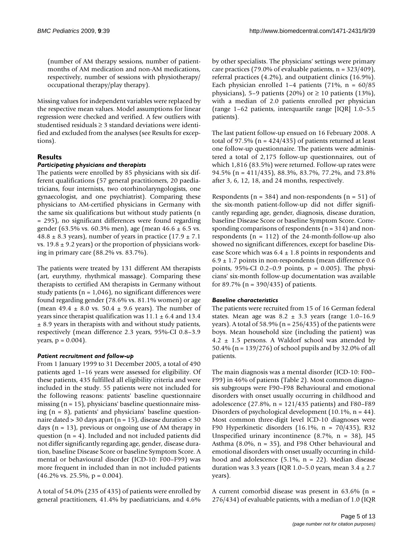(number of AM therapy sessions, number of patientmonths of AM medication and non-AM medications, respectively, number of sessions with physiotherapy/ occupational therapy/play therapy).

Missing values for independent variables were replaced by the respective mean values. Model assumptions for linear regression were checked and verified. A few outliers with studentised residuals  $\geq 3$  standard deviations were identified and excluded from the analyses (see Results for exceptions).

# **Results**

## *Participating physicians and therapists*

The patients were enrolled by 85 physicians with six different qualifications (57 general practitioners, 20 paediatricians, four internists, two otorhinolaryngologists, one gynaecologist, and one psychiatrist). Comparing these physicians to AM-certified physicians in Germany with the same six qualifications but without study patients (n = 295), no significant differences were found regarding gender (63.5% vs. 60.3% men), age (mean  $46.6 \pm 6.5$  vs. 48.8  $\pm$  8.3 years), number of years in practice (17.9  $\pm$  7.1 vs.  $19.8 \pm 9.2$  years) or the proportion of physicians working in primary care (88.2% vs. 83.7%).

The patients were treated by 131 different AM therapists (art, eurythmy, rhythmical massage). Comparing these therapists to certified AM therapists in Germany without study patients ( $n = 1,046$ ), no significant differences were found regarding gender (78.6% vs. 81.1% women) or age (mean 49.4  $\pm$  8.0 vs. 50.4  $\pm$  9.6 years). The number of years since therapist qualification was  $11.1 \pm 6.4$  and  $13.4$ ± 8.9 years in therapists with and without study patients, respectively (mean difference 2.3 years, 95%-CI 0.8–3.9 years,  $p = 0.004$ ).

# *Patient recruitment and follow-up*

From 1 January 1999 to 31 December 2005, a total of 490 patients aged 1–16 years were assessed for eligibility. Of these patients, 435 fulfilled all eligibility criteria and were included in the study. 55 patients were not included for the following reasons: patients' baseline questionnaire missing  $(n = 15)$ , physicians' baseline questionnaire missing (n = 8), patients' and physicians' baseline questionnaire dated > 30 days apart (n = 15), disease duration < 30 days  $(n = 13)$ , previous or ongoing use of AM therapy in question  $(n = 4)$ . Included and not included patients did not differ significantly regarding age, gender, disease duration, baseline Disease Score or baseline Symptom Score. A mental or behavioural disorder (ICD-10: F00–F99) was more frequent in included than in not included patients  $(46.2\% \text{ vs. } 25.5\%, \text{ p} = 0.004).$ 

A total of 54.0% (235 of 435) of patients were enrolled by general practitioners, 41.4% by paediatricians, and 4.6%

by other specialists. The physicians' settings were primary care practices (79.0% of evaluable patients,  $n = 323/409$ ), referral practices (4.2%), and outpatient clinics (16.9%). Each physician enrolled 1–4 patients (71%,  $n = 60/85$ physicians), 5–9 patients (20%) or  $\geq$  10 patients (13%), with a median of 2.0 patients enrolled per physician (range 1–62 patients, interquartile range [IQR] 1.0–5.5 patients).

The last patient follow-up ensued on 16 February 2008. A total of 97.5% ( $n = 424/435$ ) of patients returned at least one follow-up questionnaire. The patients were administered a total of 2,175 follow-up questionnaires, out of which 1,816 (83.5%) were returned. Follow-up rates were 94.5% (n = 411/435), 88.3%, 83.7%, 77.2%, and 73.8% after 3, 6, 12, 18, and 24 months, respectively.

Respondents ( $n = 384$ ) and non-respondents ( $n = 51$ ) of the six-month patient-follow-up did not differ significantly regarding age, gender, diagnosis, disease duration, baseline Disease Score or baseline Symptom Score. Corresponding comparisons of respondents ( $n = 314$ ) and nonrespondents ( $n = 112$ ) of the 24-month-follow-up also showed no significant differences, except for baseline Disease Score which was  $6.4 \pm 1.8$  points in respondents and  $6.9 \pm 1.7$  points in non-respondents (mean difference 0.6 points,  $95\%$ -CI 0.2–0.9 points,  $p = 0.005$ ). The physicians' six-month follow-up documentation was available for 89.7% ( $n = 390/435$ ) of patients.

# *Baseline characteristics*

The patients were recruited from 15 of 16 German federal states. Mean age was  $8.2 \pm 3.3$  years (range 1.0–16.9 years). A total of 58.9% ( $n = 256/435$ ) of the patients were boys. Mean household size (including the patient) was  $4.2 \pm 1.5$  persons. A Waldorf school was attended by 50.4% (n = 139/276) of school pupils and by 32.0% of all patients.

The main diagnosis was a mental disorder (ICD-10: F00– F99) in 46% of patients (Table 2). Most common diagnosis subgroups were F90–F98 Behavioural and emotional disorders with onset usually occurring in childhood and adolescence (27.8%, n = 121/435 patients) and F80–F89 Disorders of psychological development (10.1%, n = 44). Most common three-digit level ICD-10 diagnoses were F90 Hyperkinetic disorders (16.1%, n = 70/435), R32 Unspecified urinary incontinence  $(8.7\% , n = 38)$ , J45 Asthma (8.0%, n = 35), and F98 Other behavioural and emotional disorders with onset usually occurring in childhood and adolescence  $(5.1\% , n = 22)$ . Median disease duration was 3.3 years (IQR 1.0–5.0 years, mean  $3.4 \pm 2.7$ years).

A current comorbid disease was present in  $63.6\%$  (n = 276/434) of evaluable patients, with a median of 1.0 (IQR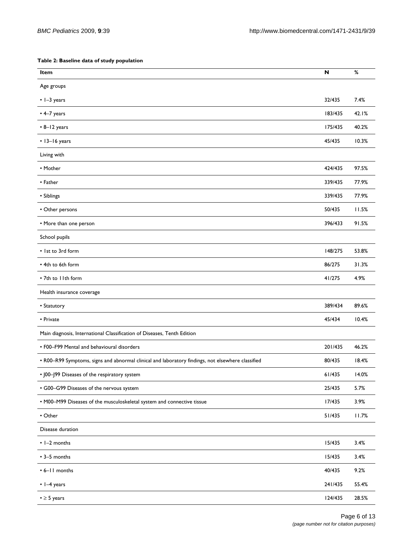#### **Table 2: Baseline data of study population**

| Item                                                                                              | N       | %     |
|---------------------------------------------------------------------------------------------------|---------|-------|
| Age groups                                                                                        |         |       |
| $\cdot$ 1-3 years                                                                                 | 32/435  | 7.4%  |
| $\cdot$ 4-7 years                                                                                 | 183/435 | 42.1% |
| $\cdot$ 8-12 years                                                                                | 175/435 | 40.2% |
| • 13-16 years                                                                                     | 45/435  | 10.3% |
| Living with                                                                                       |         |       |
| • Mother                                                                                          | 424/435 | 97.5% |
| • Father                                                                                          | 339/435 | 77.9% |
| • Siblings                                                                                        | 339/435 | 77.9% |
| • Other persons                                                                                   | 50/435  | 11.5% |
| • More than one person                                                                            | 396/433 | 91.5% |
| School pupils                                                                                     |         |       |
| . Ist to 3rd form                                                                                 | 148/275 | 53.8% |
| • 4th to 6th form                                                                                 | 86/275  | 31.3% |
| • 7th to I Ith form                                                                               | 41/275  | 4.9%  |
| Health insurance coverage                                                                         |         |       |
| • Statutory                                                                                       | 389/434 | 89.6% |
| • Private                                                                                         | 45/434  | 10.4% |
| Main diagnosis, International Classification of Diseases, Tenth Edition                           |         |       |
| • F00-F99 Mental and behavioural disorders                                                        | 201/435 | 46.2% |
| • R00-R99 Symptoms, signs and abnormal clinical and laboratory findings, not elsewhere classified | 80/435  | 18.4% |
| • J00-J99 Diseases of the respiratory system                                                      | 61/435  | 14.0% |
| • G00-G99 Diseases of the nervous system                                                          | 25/435  | 5.7%  |
| • M00-M99 Diseases of the musculoskeletal system and connective tissue                            | 17/435  | 3.9%  |
| • Other                                                                                           | 51/435  | 11.7% |
| Disease duration                                                                                  |         |       |
| $\cdot$ 1-2 months                                                                                | 15/435  | 3.4%  |
| $\cdot$ 3-5 months                                                                                | 15/435  | 3.4%  |
| • 6-11 months                                                                                     | 40/435  | 9.2%  |
| $\cdot$ 1-4 years                                                                                 | 241/435 | 55.4% |
| $\bullet \geq 5$ years                                                                            | 124/435 | 28.5% |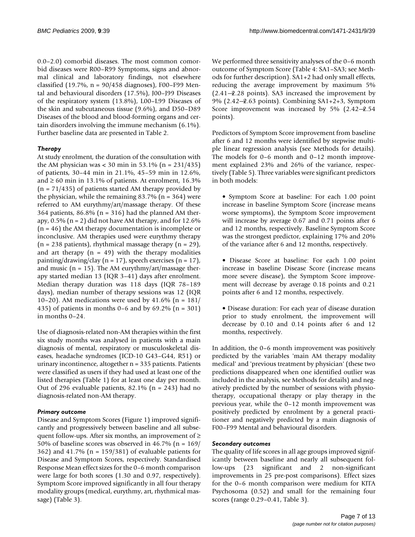0.0–2.0) comorbid diseases. The most common comorbid diseases were R00–R99 Symptoms, signs and abnormal clinical and laboratory findings, not elsewhere classified (19.7%,  $n = 90/458$  diagnoses), F00–F99 Mental and behavioural disorders (17.5%), J00–J99 Diseases of the respiratory system (13.8%), L00–L99 Diseases of the skin and subcutaneous tissue (9.6%), and D50–D89 Diseases of the blood and blood-forming organs and certain disorders involving the immune mechanism (6.1%). Further baseline data are presented in Table 2.

# *Therapy*

At study enrolment, the duration of the consultation with the AM physician was < 30 min in 53.1% (n =  $231/435$ ) of patients, 30–44 min in 21.1%, 45–59 min in 12.6%, and  $\geq 60$  min in 13.1% of patients. At enrolment, 16.3%  $(n = 71/435)$  of patients started AM therapy provided by the physician, while the remaining  $83.7\%$  (n = 364) were referred to AM eurythmy/art/massage therapy. Of these 364 patients,  $86.8\%$  (n = 316) had the planned AM therapy,  $0.5\%$  (n = 2) did not have AM therapy, and for 12.6%  $(n = 46)$  the AM therapy documentation is incomplete or inconclusive. AM therapies used were eurythmy therapy  $(n = 238 \text{ patients})$ , rhythmical massage therapy  $(n = 29)$ , and art therapy  $(n = 49)$  with the therapy modalities painting/drawing/clay ( $n = 17$ ), speech exercises ( $n = 17$ ), and music ( $n = 15$ ). The AM eurythmy/art/massage therapy started median 13 (IQR 3–41) days after enrolment. Median therapy duration was 118 days (IQR 78–189 days), median number of therapy sessions was 12 (IQR 10–20). AM medications were used by  $41.6\%$  (n = 181/ 435) of patients in months 0–6 and by 69.2% (n = 301) in months 0–24.

Use of diagnosis-related non-AM therapies within the first six study months was analysed in patients with a main diagnosis of mental, respiratory or musculoskeletal diseases, headache syndromes (ICD-10 G43–G44, R51) or urinary incontinence, altogether n = 335 patients. Patients were classified as users if they had used at least one of the listed therapies (Table 1) for at least one day per month. Out of 296 evaluable patients, 82.1% ( $n = 243$ ) had no diagnosis-related non-AM therapy.

# *Primary outcome*

Disease and Symptom Scores (Figure 1) improved significantly and progressively between baseline and all subsequent follow-ups. After six months, an improvement of  $\geq$ 50% of baseline scores was observed in 46.7% (n = 169/ 362) and 41.7% (n = 159/381) of evaluable patients for Disease and Symptom Scores, respectively. Standardised Response Mean effect sizes for the 0–6 month comparison were large for both scores (1.30 and 0.97, respectively). Symptom Score improved significantly in all four therapy modality groups (medical, eurythmy, art, rhythmical massage) (Table 3).

We performed three sensitivity analyses of the 0–6 month outcome of Symptom Score (Table 4: SA1–SA3; see Methods for further description). SA1+2 had only small effects, reducing the average improvement by maximum 5%  $(2.41 - 2.28$  points). SA3 increased the improvement by  $9\%$  (2.42 $-$ 2.63 points). Combining SA1+2+3, Symptom Score improvement was increased by 5%  $(2.42-2.54)$ points).

Predictors of Symptom Score improvement from baseline after 6 and 12 months were identified by stepwise multiple linear regression analysis (see Methods for details). The models for 0–6 month and 0–12 month improvement explained 23% and 26% of the variance, respectively (Table 5). Three variables were significant predictors in both models:

• Symptom Score at baseline: For each 1.00 point increase in baseline Symptom Score (increase means worse symptoms), the Symptom Score improvement will increase by average 0.67 and 0.71 points after 6 and 12 months, respectively. Baseline Symptom Score was the strongest predictor, explaining 17% and 20% of the variance after 6 and 12 months, respectively.

• Disease Score at baseline: For each 1.00 point increase in baseline Disease Score (increase means more severe disease), the Symptom Score improvement will decrease by average 0.18 points and 0.21 points after 6 and 12 months, respectively.

• Disease duration: For each year of disease duration prior to study enrolment, the improvement will decrease by 0.10 and 0.14 points after 6 and 12 months, respectively.

In addition, the 0–6 month improvement was positively predicted by the variables 'main AM therapy modality medical' and 'previous treatment by physician' (these two predictions disappeared when one identified outlier was included in the analysis, see Methods for details) and negatively predicted by the number of sessions with physiotherapy, occupational therapy or play therapy in the previous year, while the 0–12 month improvement was positively predicted by enrolment by a general practitioner and negatively predicted by a main diagnosis of F00–F99 Mental and behavioural disorders.

# *Secondary outcomes*

The quality of life scores in all age groups improved significantly between baseline and nearly all subsequent follow-ups (23 significant and 2 non-significant improvements in 25 pre-post comparisons). Effect sizes for the 0–6 month comparison were medium for KITA Psychosoma (0.52) and small for the remaining four scores (range 0.29–0.41, Table 3).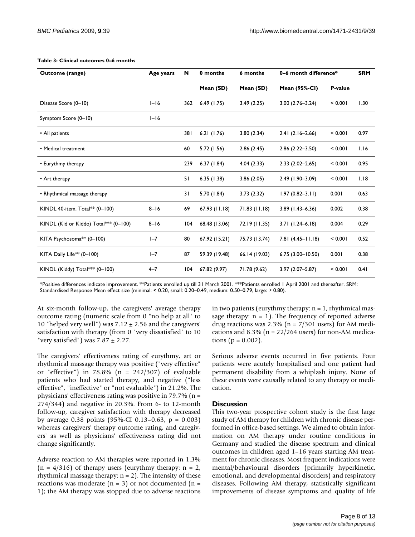| <b>Outcome (range)</b>                | Age years | N   | 0 months      | 6 months      | 0-6 month difference* |         | <b>SRM</b> |
|---------------------------------------|-----------|-----|---------------|---------------|-----------------------|---------|------------|
|                                       |           |     | Mean (SD)     | Mean (SD)     | <b>Mean (95%-CI)</b>  | P-value |            |
| Disease Score (0-10)                  | $I-I6$    | 362 | 6.49(1.75)    | 3.49(2.25)    | $3.00(2.76 - 3.24)$   | < 0.001 | 1.30       |
| Symptom Score (0-10)                  | $I-I6$    |     |               |               |                       |         |            |
| • All patients                        |           | 381 | 6.21(1.76)    | 3.80(2.34)    | $2.41(2.16-2.66)$     | < 0.001 | 0.97       |
| • Medical treatment                   |           | 60  | 5.72 (1.56)   | 2.86(2.45)    | $2.86(2.22 - 3.50)$   | < 0.001 | 1.16       |
| • Eurythmy therapy                    |           | 239 | 6.37(1.84)    | 4.04(2.33)    | $2.33(2.02 - 2.65)$   | < 0.001 | 0.95       |
| • Art therapy                         |           | 51  | 6.35(1.38)    | 3.86(2.05)    | $2.49(1.90 - 3.09)$   | < 0.001 | 1.18       |
| • Rhythmical massage therapy          |           | 31  | 5.70 (1.84)   | 3.73(2.32)    | $1.97(0.82 - 3.11)$   | 0.001   | 0.63       |
| KINDL 40-item, Total** (0-100)        | $8 - 16$  | 69  | 67.93(11.18)  | 71.83(11.18)  | $3.89$ (1.43-6.36)    | 0.002   | 0.38       |
| KINDL (Kid or Kiddo) Total*** (0-100) | $8 - 16$  | 104 | 68.48 (13.06) | 72.19 (11.35) | $3.71(1.24 - 6.18)$   | 0.004   | 0.29       |
| KITA Psychosoma <sup>*</sup> (0-100)  | $I - 7$   | 80  | 67.92 (15.21) | 75.73 (13.74) | $7.81(4.45 - 11.18)$  | < 0.001 | 0.52       |
| KITA Daily Life <sup>**</sup> (0-100) | $I - 7$   | 87  | 59.39 (19.48) | 66.14 (19.03) | $6.75(3.00 - 10.50)$  | 0.001   | 0.38       |
| KINDL (Kiddy) Total*** (0-100)        | $4 - 7$   | 104 | 67.82 (9.97)  | 71.78 (9.62)  | $3.97(2.07 - 5.87)$   | < 0.001 | 0.41       |

#### **Table 3: Clinical outcomes 0–6 months**

\*Positive differences indicate improvement. \*\*Patients enrolled up till 31 March 2001. \*\*\*Patients enrolled 1 April 2001 and thereafter. SRM: Standardised Response Mean effect size (minimal: < 0.20, small: 0.20–0.49, medium: 0.50–0.79, large:  $\geq$  0.80).

At six-month follow-up, the caregivers' average therapy outcome rating (numeric scale from 0 "no help at all" to 10 "helped very well") was  $7.12 \pm 2.56$  and the caregivers' satisfaction with therapy (from 0 "very dissatisfied" to 10 "very satisfied") was  $7.87 \pm 2.27$ .

The caregivers' effectiveness rating of eurythmy, art or rhythmical massage therapy was positive ("very effective" or "effective") in  $78.8\%$  (n =  $242/307$ ) of evaluable patients who had started therapy, and negative ("less effective", "ineffective" or "not evaluable") in 21.2%. The physicians' effectiveness rating was positive in 79.7% (n = 274/344) and negative in 20.3%. From 6- to 12-month follow-up, caregiver satisfaction with therapy decreased by average 0.38 points (95%-CI 0.13–0.63, p = 0.003) whereas caregivers' therapy outcome rating, and caregivers' as well as physicians' effectiveness rating did not change significantly.

Adverse reaction to AM therapies were reported in 1.3%  $(n = 4/316)$  of therapy users (eurythmy therapy:  $n = 2$ , rhythmical massage therapy:  $n = 2$ ). The intensity of these reactions was moderate ( $n = 3$ ) or not documented ( $n =$ 1); the AM therapy was stopped due to adverse reactions

in two patients (eurythmy therapy:  $n = 1$ , rhythmical massage therapy:  $n = 1$ ). The frequency of reported adverse drug reactions was  $2.3\%$  (n =  $7/301$  users) for AM medications and 8.3% ( $n = 22/264$  users) for non-AM medications ( $p = 0.002$ ).

Serious adverse events occurred in five patients. Four patients were acutely hospitalised and one patient had permanent disability from a whiplash injury. None of these events were causally related to any therapy or medication.

#### **Discussion**

This two-year prospective cohort study is the first large study of AM therapy for children with chronic disease performed in office-based settings. We aimed to obtain information on AM therapy under routine conditions in Germany and studied the disease spectrum and clinical outcomes in children aged 1–16 years starting AM treatment for chronic diseases. Most frequent indications were mental/behavioural disorders (primarily hyperkinetic, emotional, and developmental disorders) and respiratory diseases. Following AM therapy, statistically significant improvements of disease symptoms and quality of life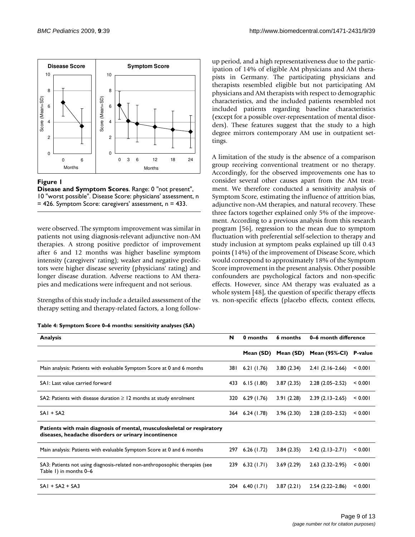

### **Figure 1**

**Disease and Symptom Scores**. Range: 0 "not present", 10 "worst possible". Disease Score: physicians' assessment, n = 426. Symptom Score: caregivers' assessment, n = 433.

were observed. The symptom improvement was similar in patients not using diagnosis-relevant adjunctive non-AM therapies. A strong positive predictor of improvement after 6 and 12 months was higher baseline symptom intensity (caregivers' rating); weaker and negative predictors were higher disease severity (physicians' rating) and longer disease duration. Adverse reactions to AM therapies and medications were infrequent and not serious.

Strengths of this study include a detailed assessment of the therapy setting and therapy-related factors, a long follow-

| Table 4: Symptom Score 0–6 months: sensitivity analyses (SA) |  |  |  |  |  |
|--------------------------------------------------------------|--|--|--|--|--|
|--------------------------------------------------------------|--|--|--|--|--|

up period, and a high representativeness due to the participation of 14% of eligible AM physicians and AM therapists in Germany. The participating physicians and therapists resembled eligible but not participating AM physicians and AM therapists with respect to demographic characteristics, and the included patients resembled not included patients regarding baseline characteristics (except for a possible over-representation of mental disorders). These features suggest that the study to a high degree mirrors contemporary AM use in outpatient settings.

A limitation of the study is the absence of a comparison group receiving conventional treatment or no therapy. Accordingly, for the observed improvements one has to consider several other causes apart from the AM treatment. We therefore conducted a sensitivity analysis of Symptom Score, estimating the influence of attrition bias, adjunctive non-AM therapies, and natural recovery. These three factors together explained only 5% of the improvement. According to a previous analysis from this research program [56], regression to the mean due to symptom fluctuation with preferential self-selection to therapy and study inclusion at symptom peaks explained up till 0.43 points (14%) of the improvement of Disease Score, which would correspond to approximately 18% of the Symptom Score improvement in the present analysis. Other possible confounders are psychological factors and non-specific effects. However, since AM therapy was evaluated as a whole system [48], the question of specific therapy effects vs. non-specific effects (placebo effects, context effects,

| <b>Analysis</b>                                                                                                                | N    | 0 months   | 6 months   | 0–6 month difference  |         |  |
|--------------------------------------------------------------------------------------------------------------------------------|------|------------|------------|-----------------------|---------|--|
|                                                                                                                                |      | Mean (SD)  | Mean (SD)  | Mean (95%-CI) P-value |         |  |
| Main analysis: Patients with evaluable Symptom Score at 0 and 6 months                                                         | 38 I | 6.21(1.76) | 3.80(2.34) | $2.41(2.16-2.66)$     | < 0.001 |  |
| SAI: Last value carried forward                                                                                                | 433  | 6.15(1.80) | 3.87(2.35) | $2.28(2.05 - 2.52)$   | < 0.001 |  |
| SA2: Patients with disease duration $\geq 12$ months at study enrolment                                                        | 320  | 6.29(1.76) | 3.91(2.28) | $2.39(2.13 - 2.65)$   | < 0.001 |  |
| $SAI + SA2$                                                                                                                    | 364  | 6.24(1.78) | 3.96(2.30) | $2.28(2.03 - 2.52)$   | < 0.001 |  |
| Patients with main diagnosis of mental, musculoskeletal or respiratory<br>diseases, headache disorders or urinary incontinence |      |            |            |                       |         |  |
| Main analysis: Patients with evaluable Symptom Score at 0 and 6 months                                                         | 297  | 6.26(1.72) | 3.84(2.35) | $2.42(2.13 - 2.71)$   | < 0.001 |  |
| SA3: Patients not using diagnosis-related non-anthroposophic therapies (see<br>Table 1) in months 0-6                          | 239  | 6.32(1.71) | 3.69(2.29) | $2.63(2.32-2.95)$     | < 0.001 |  |
| $SAI + SA2 + SA3$                                                                                                              | 204  | 6.40(1.71) | 3.87(2.21) | $2.54(2.22 - 2.86)$   | < 0.001 |  |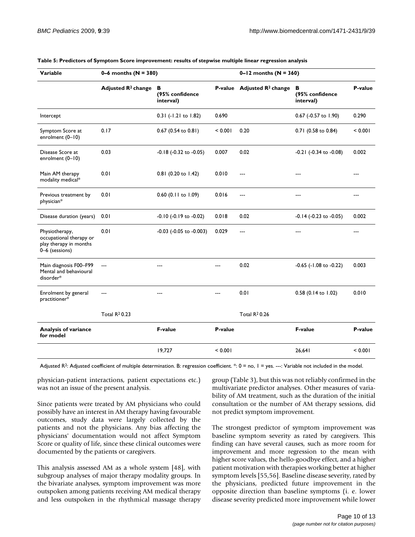| Variable                                                                              | 0–6 months ( $N = 380$ )       |                                   |         | 0-12 months ( $N = 360$ )              |                                   |         |  |
|---------------------------------------------------------------------------------------|--------------------------------|-----------------------------------|---------|----------------------------------------|-----------------------------------|---------|--|
|                                                                                       | Adjusted R <sup>2</sup> change | в<br>(95% confidence<br>interval) |         | P-value Adjusted R <sup>2</sup> change | В<br>(95% confidence<br>interval) | P-value |  |
| Intercept                                                                             |                                | 0.31 (-1.21 to 1.82)              | 0.690   |                                        | 0.67 (-0.57 to 1.90)              | 0.290   |  |
| Symptom Score at<br>enrolment $(0-10)$                                                | 0.17                           | 0.67 (0.54 to 0.81)               | < 0.001 | 0.20                                   | 0.71 (0.58 to 0.84)               | < 0.001 |  |
| Disease Score at<br>enrolment (0-10)                                                  | 0.03                           | $-0.18$ $(-0.32$ to $-0.05)$      | 0.007   | 0.02                                   | -0.21 (-0.34 to -0.08)            | 0.002   |  |
| Main AM therapy<br>modality medical*                                                  | 0.01                           | 0.81 (0.20 to 1.42)               | 0.010   | $---$                                  | $---$                             | ---     |  |
| Previous treatment by<br>physician*                                                   | 0.01                           | $0.60$ (0.11 to 1.09)             | 0.016   | $---$                                  | ---                               | ---     |  |
| Disease duration (years)                                                              | 0.01                           | $-0.10$ $(-0.19$ to $-0.02)$      | 0.018   | 0.02                                   | -0.14 (-0.23 to -0.05)            | 0.002   |  |
| Physiotherapy,<br>occupational therapy or<br>play therapy in months<br>0-6 (sessions) | 0.01                           | $-0.03$ ( $-0.05$ to $-0.003$ )   | 0.029   | ---                                    |                                   | ---     |  |
| Main diagnosis F00-F99<br>Mental and behavioural<br>disorder*                         | $---$                          | ---                               |         | 0.02                                   | $-0.65$ ( $-1.08$ to $-0.22$ )    | 0.003   |  |
| Enrolment by general<br>practitioner*                                                 | $---$                          | $---$                             | ---     | 0.01                                   | 0.58 (0.14 to 1.02)               | 0.010   |  |
|                                                                                       | Total R <sup>2</sup> 0.23      |                                   |         | <b>Total R20.26</b>                    |                                   |         |  |
| <b>Analysis of variance</b><br>for model                                              |                                | <b>F-value</b>                    | P-value |                                        | <b>F-value</b>                    | P-value |  |
|                                                                                       |                                | 19,727                            | < 0.001 |                                        | 26,641                            | < 0.001 |  |

#### **Table 5: Predictors of Symptom Score improvement: results of stepwise multiple linear regression analysis**

Adjusted R<sup>2</sup>: Adjusted coefficient of multiple determination. B: regression coefficient. \*: 0 = no, 1 = yes. ---: Variable not included in the model.

physician-patient interactions, patient expectations etc.) was not an issue of the present analysis.

Since patients were treated by AM physicians who could possibly have an interest in AM therapy having favourable outcomes, study data were largely collected by the patients and not the physicians. Any bias affecting the physicians' documentation would not affect Symptom Score or quality of life, since these clinical outcomes were documented by the patients or caregivers.

This analysis assessed AM as a whole system [48], with subgroup analyses of major therapy modality groups. In the bivariate analyses, symptom improvement was more outspoken among patients receiving AM medical therapy and less outspoken in the rhythmical massage therapy group (Table 3), but this was not reliably confirmed in the multivariate predictor analyses. Other measures of variability of AM treatment, such as the duration of the initial consultation or the number of AM therapy sessions, did not predict symptom improvement.

The strongest predictor of symptom improvement was baseline symptom severity as rated by caregivers. This finding can have several causes, such as more room for improvement and more regression to the mean with higher score values, the hello-goodbye effect, and a higher patient motivation with therapies working better at higher symptom levels [55,56]. Baseline disease severity, rated by the physicians, predicted future improvement in the opposite direction than baseline symptoms (i. e. lower disease severity predicted more improvement while lower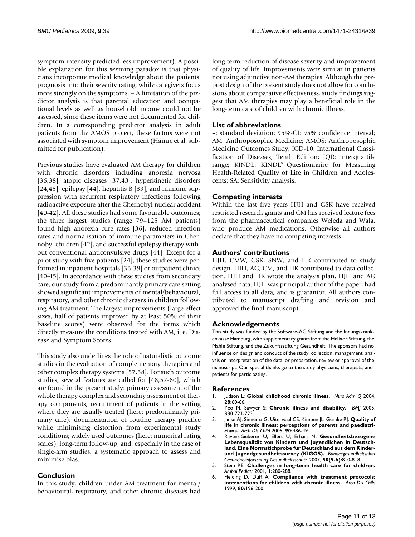symptom intensity predicted less improvement). A possible explanation for this seeming paradox is that physicians incorporate medical knowledge about the patients' prognosis into their severity rating, while caregivers focus more strongly on the symptoms. – A limitation of the predictor analysis is that parental education and occupational levels as well as household income could not be assessed, since these items were not documented for children. In a corresponding predictor analysis in adult patients from the AMOS project, these factors were not associated with symptom improvement (Hamre et al, submitted for publication).

Previous studies have evaluated AM therapy for children with chronic disorders including anorexia nervosa [36,38], atopic diseases [37,43], hyperkinetic disorders [24,45], epilepsy [44], hepatitis B [39], and immune suppression with recurrent respiratory infections following radioactive exposure after the Chernobyl nuclear accident [40-42]. All these studies had some favourable outcomes; the three largest studies (range 79–125 AM patients) found high anorexia cure rates [36], reduced infection rates and normalisation of immune parameters in Chernobyl children [42], and successful epilepsy therapy without conventional anticonvulsive drugs [44]. Except for a pilot study with five patients [24], these studies were performed in inpatient hospitals [36-39] or outpatient clinics [40-45]. In accordance with these studies from secondary care, our study from a predominantly primary care setting showed significant improvements of mental/behavioural, respiratory, and other chronic diseases in children following AM treatment. The largest improvements (large effect sizes, half of patients improved by at least 50% of their baseline scores) were observed for the items which directly measure the conditions treated with AM, i. e. Disease and Symptom Scores.

This study also underlines the role of naturalistic outcome studies in the evaluation of complementary therapies and other complex therapy systems [57,58]. For such outcome studies, several features are called for [48,57-60], which are found in the present study: primary assessment of the whole therapy complex and secondary assessment of therapy components; recruitment of patients in the setting where they are usually treated (here: predominantly primary care); documentation of routine therapy practice while minimising distortion from experimental study conditions; widely used outcomes (here: numerical rating scales); long-term follow-up; and, especially in the case of single-arm studies, a systematic approach to assess and minimise bias.

# **Conclusion**

In this study, children under AM treatment for mental/ behavioural, respiratory, and other chronic diseases had long-term reduction of disease severity and improvement of quality of life. Improvements were similar in patients not using adjunctive non-AM therapies. Although the prepost design of the present study does not allow for conclusions about comparative effectiveness, study findings suggest that AM therapies may play a beneficial role in the long-term care of children with chronic illness.

# **List of abbreviations**

±: standard deviation; 95%-CI: 95% confidence interval; AM: Anthroposophic Medicine; AMOS: Anthroposophic Medicine Outcomes Study; ICD-10: International Classification of Diseases, Tenth Edition; IQR: interquartile range; KINDL: KINDL® Questionnaire for Measuring Health-Related Quality of Life in Children and Adolescents; SA: Sensitivity analysis.

### **Competing interests**

Within the last five years HJH and GSK have received restricted research grants and CM has received lecture fees from the pharmaceutical companies Weleda and Wala, who produce AM medications. Otherwise all authors declare that they have no competing interests.

### **Authors' contributions**

HJH, CMW, GSK, SNW, and HK contributed to study design. HJH, AG, CM, and HK contributed to data collection. HJH and HK wrote the analysis plan, HJH and AG analysed data. HJH was principal author of the paper, had full access to all data, and is guarantor. All authors contributed to manuscript drafting and revision and approved the final manuscript.

### **Acknowledgements**

This study was funded by the Software-AG Stiftung and the Innungskrankenkasse Hamburg, with supplementary grants from the Helixor Stiftung, the Mahle Stiftung, and the Zukunftsstiftung Gesundheit. The sponsors had no influence on design and conduct of the study; collection, management, analysis or interpretation of the data; or preparation, review or approval of the manuscript. Our special thanks go to the study physicians, therapists, and patients for participating.

### **References**

- 1. Judson L: **[Global childhood chronic illness.](http://www.ncbi.nlm.nih.gov/entrez/query.fcgi?cmd=Retrieve&db=PubMed&dopt=Abstract&list_uids=14986511)** *Nurs Adm Q* 2004, **28:**60-66.
- 2. Yeo M, Sawyer S: **[Chronic illness and disability.](http://www.ncbi.nlm.nih.gov/entrez/query.fcgi?cmd=Retrieve&db=PubMed&dopt=Abstract&list_uids=15790645)** *BMJ* 2005, **330:**721-723.
- 3. Janse AJ, Sinnema G, Uiterwaal CS, Kimpen JL, Gemke RJ: **[Quality of](http://www.ncbi.nlm.nih.gov/entrez/query.fcgi?cmd=Retrieve&db=PubMed&dopt=Abstract&list_uids=15851430) [life in chronic illness: perceptions of parents and paediatri](http://www.ncbi.nlm.nih.gov/entrez/query.fcgi?cmd=Retrieve&db=PubMed&dopt=Abstract&list_uids=15851430)[cians.](http://www.ncbi.nlm.nih.gov/entrez/query.fcgi?cmd=Retrieve&db=PubMed&dopt=Abstract&list_uids=15851430)** *Arch Dis Child* 2005, **90:**486-491.
- 4. Ravens-Sieberer U, Ellert U, Erhart M: **[Gesundheitsbezogene](http://www.ncbi.nlm.nih.gov/entrez/query.fcgi?cmd=Retrieve&db=PubMed&dopt=Abstract&list_uids=17514467) [Lebensqualität von Kindern und Jugendlichen in Deutsch](http://www.ncbi.nlm.nih.gov/entrez/query.fcgi?cmd=Retrieve&db=PubMed&dopt=Abstract&list_uids=17514467)land. Eine Normstichprobe für Deutschland aus dem Kinder[und Jugendgesundheitssurvey \(KIGGS\).](http://www.ncbi.nlm.nih.gov/entrez/query.fcgi?cmd=Retrieve&db=PubMed&dopt=Abstract&list_uids=17514467)** *Bundesgesundheitsblatt Gesundheitsforschung Gesundheitsschutz* 2007, **50(5-6):**810-818.
- 5. Stein RE: **[Challenges in long-term health care for children.](http://www.ncbi.nlm.nih.gov/entrez/query.fcgi?cmd=Retrieve&db=PubMed&dopt=Abstract&list_uids=11888416)** *Ambul Pediatr* 2001, **1:**280-288.
- 6. Fielding D, Duff A: **[Compliance with treatment protocols:](http://www.ncbi.nlm.nih.gov/entrez/query.fcgi?cmd=Retrieve&db=PubMed&dopt=Abstract&list_uids=10325743) [interventions for children with chronic illness.](http://www.ncbi.nlm.nih.gov/entrez/query.fcgi?cmd=Retrieve&db=PubMed&dopt=Abstract&list_uids=10325743)** *Arch Dis Child* 1999, **80:**196-200.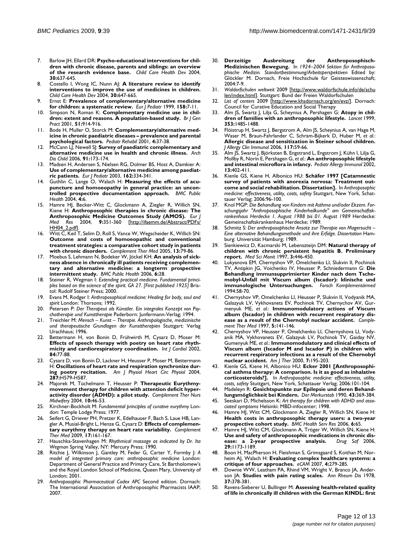- 7. Barlow JH, Ellard DR: **[Psycho-educational interventions for chil](http://www.ncbi.nlm.nih.gov/entrez/query.fcgi?cmd=Retrieve&db=PubMed&dopt=Abstract&list_uids=15527474)[dren with chronic disease, parents and siblings: an overview](http://www.ncbi.nlm.nih.gov/entrez/query.fcgi?cmd=Retrieve&db=PubMed&dopt=Abstract&list_uids=15527474) [of the research evidence base.](http://www.ncbi.nlm.nih.gov/entrez/query.fcgi?cmd=Retrieve&db=PubMed&dopt=Abstract&list_uids=15527474)** *Child Care Health Dev* 2004, **30:**637-645.
- 8. Costello I, Wong IC, Nunn AJ: **[A literature review to identify](http://www.ncbi.nlm.nih.gov/entrez/query.fcgi?cmd=Retrieve&db=PubMed&dopt=Abstract&list_uids=15527475) [interventions to improve the use of medicines in children.](http://www.ncbi.nlm.nih.gov/entrez/query.fcgi?cmd=Retrieve&db=PubMed&dopt=Abstract&list_uids=15527475)** *Child Care Health Dev* 2004, **30:**647-665.
- 9. Ernst E: **[Prevalence of complementary/alternative medicine](http://www.ncbi.nlm.nih.gov/entrez/query.fcgi?cmd=Retrieve&db=PubMed&dopt=Abstract&list_uids=9950300) [for children: a systematic review.](http://www.ncbi.nlm.nih.gov/entrez/query.fcgi?cmd=Retrieve&db=PubMed&dopt=Abstract&list_uids=9950300)** *Eur J Pediatr* 1999, **158:**7-11.
- 10. Simpson N, Roman K: **[Complementary medicine use in chil](http://www.ncbi.nlm.nih.gov/entrez/query.fcgi?cmd=Retrieve&db=PubMed&dopt=Abstract&list_uids=11761206)[dren: extent and reasons. A population-based study.](http://www.ncbi.nlm.nih.gov/entrez/query.fcgi?cmd=Retrieve&db=PubMed&dopt=Abstract&list_uids=11761206)** *Br J Gen Pract* 2001, **51:**914-916.
- 11. Bode H, Muller O, Storck M: **[Complementary/alternative med](http://www.ncbi.nlm.nih.gov/entrez/query.fcgi?cmd=Retrieve&db=PubMed&dopt=Abstract&list_uids=11330849)[icine in chronic paediatric diseases – prevalence and parental](http://www.ncbi.nlm.nih.gov/entrez/query.fcgi?cmd=Retrieve&db=PubMed&dopt=Abstract&list_uids=11330849) [psychological factors.](http://www.ncbi.nlm.nih.gov/entrez/query.fcgi?cmd=Retrieve&db=PubMed&dopt=Abstract&list_uids=11330849)** *Pediatr Rehabil* 2001, **4:**37-38.
- 12. McCann LJ, Newell SJ: **[Survey of paediatric complementary and](http://www.ncbi.nlm.nih.gov/entrez/query.fcgi?cmd=Retrieve&db=PubMed&dopt=Abstract&list_uids=16428365) [alternative medicine use in health and chronic illness.](http://www.ncbi.nlm.nih.gov/entrez/query.fcgi?cmd=Retrieve&db=PubMed&dopt=Abstract&list_uids=16428365)** *Arch Dis Child* 2006, **91:**173-174.
- 13. Madsen H, Andersen S, Nielsen RG, Dolmer BS, Host A, Damkier A: **[Use of complementary/alternative medicine among paediat](http://www.ncbi.nlm.nih.gov/entrez/query.fcgi?cmd=Retrieve&db=PubMed&dopt=Abstract&list_uids=12692715)[ric patients.](http://www.ncbi.nlm.nih.gov/entrez/query.fcgi?cmd=Retrieve&db=PubMed&dopt=Abstract&list_uids=12692715)** *Eur J Pediatr* 2003, **162:**334-341.
- 14. Guthlin C, Lange O, Walach H: **[Measuring the effects of acu](http://www.ncbi.nlm.nih.gov/entrez/query.fcgi?cmd=Retrieve&db=PubMed&dopt=Abstract&list_uids=15113434)[puncture and homoeopathy in general practice: an uncon](http://www.ncbi.nlm.nih.gov/entrez/query.fcgi?cmd=Retrieve&db=PubMed&dopt=Abstract&list_uids=15113434)[trolled prospective documentation approach.](http://www.ncbi.nlm.nih.gov/entrez/query.fcgi?cmd=Retrieve&db=PubMed&dopt=Abstract&list_uids=15113434)** *BMC Public Health* 2004, **4:**6.
- Hamre HJ, Becker-Witt C, Glockmann A, Ziegler R, Willich SN, Kiene H: **[Anthroposophic therapies in chronic disease: The](http://www.ncbi.nlm.nih.gov/entrez/query.fcgi?cmd=Retrieve&db=PubMed&dopt=Abstract&list_uids=15337636) [Anthroposophic Medicine Outcomes Study \(AMOS\).](http://www.ncbi.nlm.nih.gov/entrez/query.fcgi?cmd=Retrieve&db=PubMed&dopt=Abstract&list_uids=15337636)** *Eur J Med Res* 2004, **9:**351-360 [\[http://ifaemm.de/Abstract/PDFs/](http://ifaemm.de/Abstract/PDFs/HH04_2.pdf) [HH04\\_2.pdf\]](http://ifaemm.de/Abstract/PDFs/HH04_2.pdf).
- Witt C, Keil T, Selim D, Roll S, Vance W, Wegscheider K, Willich SN: **[Outcome and costs of homoeopathic and conventional](http://www.ncbi.nlm.nih.gov/entrez/query.fcgi?cmd=Retrieve&db=PubMed&dopt=Abstract&list_uids=16036164) treatment strategies: a comparative cohort study in patients [with chronic disorders.](http://www.ncbi.nlm.nih.gov/entrez/query.fcgi?cmd=Retrieve&db=PubMed&dopt=Abstract&list_uids=16036164)** *Complement Ther Med* 2005, **13:**79-86.
- 17. Moebus S, Lehmann N, Bodeker W, Jöckel KH: **[An analysis of sick](http://www.ncbi.nlm.nih.gov/entrez/query.fcgi?cmd=Retrieve&db=PubMed&dopt=Abstract&list_uids=16472403)[ness absence in chronically ill patients receiving complemen](http://www.ncbi.nlm.nih.gov/entrez/query.fcgi?cmd=Retrieve&db=PubMed&dopt=Abstract&list_uids=16472403)tary and alternative medicine: a longterm prospective [intermittent study.](http://www.ncbi.nlm.nih.gov/entrez/query.fcgi?cmd=Retrieve&db=PubMed&dopt=Abstract&list_uids=16472403)** *BMC Public Health* 2006, **6:**28.
- 18. Steiner R, Wegman I: *Extending practical medicine. Fundamental principles based on the science of the spirit. GA 27. [First published 1925]* Bristol: Rudolf Steiner Press; 2000.
- 19. Evans M, Rodger I: *Anthroposophical medicine: Healing for body, soul and spirit* London: Thorsons; 1992.
- 20. Petersen P: *Der Therapeut als Künstler. Ein integrales Konzept von Psychotherapie und Kunsttherapie* Paderborn: Junfermann-Verlag; 1994.
- 21. Treichler M: *Mensch Kunst Therapie. Anthropologische, medizinische und therapeutische Grundlagen der Kunsttherapien* Stuttgart: Verlag Urachhaus; 1996.
- 22. Bettermann H, von Bonin D, Frühwirth M, Cysarz D, Moser M: **[Effects of speech therapy with poetry on heart rate rhyth](http://www.ncbi.nlm.nih.gov/entrez/query.fcgi?cmd=Retrieve&db=PubMed&dopt=Abstract&list_uids=12104068)[micity and cardiorespiratory coordination.](http://www.ncbi.nlm.nih.gov/entrez/query.fcgi?cmd=Retrieve&db=PubMed&dopt=Abstract&list_uids=12104068)** *Int J Cardiol* 2002, **84:**77-88.
- 23. Cysarz D, von Bonin D, Lackner H, Heusser P, Moser M, Bettermann H: **[Oscillations of heart rate and respiration synchronize dur](http://www.ncbi.nlm.nih.gov/entrez/query.fcgi?cmd=Retrieve&db=PubMed&dopt=Abstract&list_uids=15072959)[ing poetry recitation.](http://www.ncbi.nlm.nih.gov/entrez/query.fcgi?cmd=Retrieve&db=PubMed&dopt=Abstract&list_uids=15072959)** *Am J Physiol Heart Circ Physiol* 2004, **287:**H579-H587.
- 24. Majorek M, Tüchelmann T, Heusser P: **[Therapeutic Eurythmy](http://www.ncbi.nlm.nih.gov/entrez/query.fcgi?cmd=Retrieve&db=PubMed&dopt=Abstract&list_uids=14744506)[movement therapy for children with attention deficit hyper](http://www.ncbi.nlm.nih.gov/entrez/query.fcgi?cmd=Retrieve&db=PubMed&dopt=Abstract&list_uids=14744506)[activity disorder \(ADHD\): a pilot study.](http://www.ncbi.nlm.nih.gov/entrez/query.fcgi?cmd=Retrieve&db=PubMed&dopt=Abstract&list_uids=14744506)** *Complement Ther Nurs Midwifery* 2004, **10:**46-53.
- 25. Kirchner-Bockholt M: *Fundamental principles of curative eurythmy* London: Temple Lodge Press; 1977.
- 26. Seifert G, Driever PH, Pretzer K, Edelhauser F, Bach S, Laue HB, Langler A, Musial-Bright L, Henze G, Cysarz D: **[Effects of complemen](http://www.ncbi.nlm.nih.gov/entrez/query.fcgi?cmd=Retrieve&db=PubMed&dopt=Abstract&list_uids=19398070)[tary eurythmy therapy on heart rate variability.](http://www.ncbi.nlm.nih.gov/entrez/query.fcgi?cmd=Retrieve&db=PubMed&dopt=Abstract&list_uids=19398070)** *Complement Ther Med* 2009, **17:**161-167.
- 27. Hauschka-Stavenhagen M: *Rhythmical massage as indicated by Dr. Ita Wegman* Spring Valley, NY: Mercury Press; 1990.
- 28. Ritchie J, Wilkinson J, Gantley M, Feder G, Carter Y, Formby J: *A model of integrated primary care: anthroposophic medicine* London: Department of General Practice and Primary Care, St Bartholomew's and the Royal London School of Medicine, Queen Mary, University of London; 2001.
- 29. *Anthroposophic Pharmaceutical Codex APC* Second edition. Dornach: The International Association of Anthroposophic Pharmacists IAAP; 2007.
- 30. **Derzeitige Ausbreitung der Anthroposophisch-Medizinischen Bewegung.** In *1924–2004 Sektion für Anthroposophische Medizin. Standortbestimmung/Arbeitsperspektiven* Edited by: Glöckler M. Dornach, Freie Hochschule für Geisteswissenschaft; 2004:7-9.
- 31. *Waldorfschulen weltweit* 2009 [[http://www.waldorfschule.info/de/schu](http://www.waldorfschule.info/de/schulen/index.html) [len/index.html\]](http://www.waldorfschule.info/de/schulen/index.html). Stuttgart: Bund der Freien Waldorfschulen
- 32. *List of centers* 2009 [[http://www.khsdornach.org/en/evz/\]](http://www.khsdornach.org/en/evz/). Dornach: Council for Curative Education and Social Therapy
- 33. Alm JS, Swartz J, Lilja G, Scheynius A, Pershagen G: **[Atopy in chil](http://www.ncbi.nlm.nih.gov/entrez/query.fcgi?cmd=Retrieve&db=PubMed&dopt=Abstract&list_uids=10232315)[dren of families with an anthroposophic lifestyle.](http://www.ncbi.nlm.nih.gov/entrez/query.fcgi?cmd=Retrieve&db=PubMed&dopt=Abstract&list_uids=10232315)** *Lancet* 1999, **353:**1485-1488.
- 34. Flöistrup H, Swartz J, Bergstrom A, Alm JS, Scheynius A, van Hage M, Waser M, Braun-Fahrlander C, Schram-Bijkerk D, Huber M, *et al.*: **[Allergic disease and sensitization in Steiner school children.](http://www.ncbi.nlm.nih.gov/entrez/query.fcgi?cmd=Retrieve&db=PubMed&dopt=Abstract&list_uids=16387585)** *J Allergy Clin Immunol* 2006, **117:**59-66.
- Alm JS, Swartz J, Björksten B, Engstrand L, Engstrom J, Kühn I, Lilja G, Mollby R, Norin E, Pershagen G, *et al.*: **[An anthroposophic lifestyle](http://www.ncbi.nlm.nih.gov/entrez/query.fcgi?cmd=Retrieve&db=PubMed&dopt=Abstract&list_uids=12485315) [and intestinal microflora in infancy.](http://www.ncbi.nlm.nih.gov/entrez/query.fcgi?cmd=Retrieve&db=PubMed&dopt=Abstract&list_uids=12485315)** *Pediatr Allergy Immunol* 2002, **13:**402-411.
- 36. Kienle GS, Kiene H, Albonico HU: **Schäfer 1997 [Catamnestic survey of patients with anorexia nervosa: Treatment outcome and social rehabilitation. Dissertation].** In *Anthroposophic medicine: effectiveness, utility, costs, safety* Stuttgart, New York, Schattauer Verlag; 2006:96-100.
- 37. Knol MGP: *Die Behandlung von Kindern mit Asthma und/oder Ekzem. Forschungsjahr "Anthroposophische Kinderheilkunde" am Gemeinschaftskrankenhaus Herdecke 1. August 1988 bis 01. August 1989* Herdecke: Gemeinschaftskrankenhaus Herdecke; 1989.
- 38. Schmitz S: *Der anthroposophische Ansatz zur Therapie von Magersucht – Eine alternative Behandlungsmethode und ihre Erfolge. Dissertation* Hamburg: Universität Hamburg; 1989.
- 39. Sienkiewicz D, Kacmarski M, Lebenszteijn DM: **Natural therapy of children with chronic persistent hepatitis B. Preliminary report.** *Med Sci Monit* 1997, **3:**446-450.
- Lukyanova EM, Chernyshov VP, Omelchenko LI, Slukvin II, Pochinok TV, Antipkin JG, Voichenko IV, Heusser P, Schniedermann G: **Die Behandlung immunsupprimierter Kinder nach dem Tschemobyl-Unfall mit Viscum album (Iscador): klinische und immunologische Untersuchungen.** *Forsch Komplementärmed* 1994:58-70.
- 41. Chernyshov VP, Omelchenko LI, Heusser P, Slukvin II, Vodyanik MA, Galazyuk LV, Vykhovanets EV, Pochinok TV, Chernychov AV, Gurmenyuk ME, *et al.*: **Immunomodulatory actions of Viscum album (Iscador) in children with recurrent respiratory disease as a result of the Chernobyl nuclear accident.** *Complement Ther Med* 1997, **5:**141-146.
- 42. Chernyshov VP, Heusser P, Omelchenko LI, Chernyshova LI, Vodyanik MA, Vykhovanets EV, Galazyuk LV, Pochinok TV, Gaiday NV, Gumenyuk ME, *et al.*: **[Immunomodulatory and clinical effects of](http://www.ncbi.nlm.nih.gov/entrez/query.fcgi?cmd=Retrieve&db=PubMed&dopt=Abstract&list_uids=11317168) [Viscum album \(Iscador M and Iscador P\) in children with](http://www.ncbi.nlm.nih.gov/entrez/query.fcgi?cmd=Retrieve&db=PubMed&dopt=Abstract&list_uids=11317168) recurrent respiratory infections as a result of the Chernobyl [nuclear accident.](http://www.ncbi.nlm.nih.gov/entrez/query.fcgi?cmd=Retrieve&db=PubMed&dopt=Abstract&list_uids=11317168)** *Am J Ther* 2000, **7:**195-203.
- 43. Kienle GS, Kiene H, Albonico HU: **Ecker 2001 [Anthroposophical asthma therapy: A comparison. Is it as good as inhalative corticosteroids?].** In *Anthroposophic medicine: effectiveness, utility, costs, safety* Stuttgart, New York, Schattauer Verlag; 2006:101-104.
- 44. Madeleyn R: **Gesichtspunkte zur Epilepsie und deren Behandlungsmöglichkeit bei Kindern.** *Der Merkurstab* 1990, **43:**369-384.
- 45. Seeskari D, Michelsson K: *Art therapy for children with ADHD and associated symptoms* Helsinki: MBD-infocenter; 1998.
- 46. Hamre HJ, Witt CM, Glockmann A, Ziegler R, Willich SN, Kiene H: **[Health costs in anthroposophic therapy users: a two-year](http://www.ncbi.nlm.nih.gov/entrez/query.fcgi?cmd=Retrieve&db=PubMed&dopt=Abstract&list_uids=16749921) [prospective cohort study.](http://www.ncbi.nlm.nih.gov/entrez/query.fcgi?cmd=Retrieve&db=PubMed&dopt=Abstract&list_uids=16749921)** *BMC Health Serv Res* 2006, **6:**65.
- 47. Hamre HJ, Witt CM, Glockmann A, Tröger W, Willich SN, Kiene H: **[Use and safety of anthroposophic medications in chronic dis](http://www.ncbi.nlm.nih.gov/entrez/query.fcgi?cmd=Retrieve&db=PubMed&dopt=Abstract&list_uids=17147463)**[ease: a 2-year prospective analysis.](http://www.ncbi.nlm.nih.gov/entrez/query.fcgi?cmd=Retrieve&db=PubMed&dopt=Abstract&list_uids=17147463) **29:**1173-1189.
- 48. Boon H, MacPherson H, Fleishman S, Grimsgaard S, Koithan M, Norheim AJ, Walach H: **[Evaluating complex healthcare systems: a](http://www.ncbi.nlm.nih.gov/entrez/query.fcgi?cmd=Retrieve&db=PubMed&dopt=Abstract&list_uids=17965757) [critique of four approaches.](http://www.ncbi.nlm.nih.gov/entrez/query.fcgi?cmd=Retrieve&db=PubMed&dopt=Abstract&list_uids=17965757)** *eCAM* 2007, **4:**279-285.
- 49. Downie WW, Leatham PA, Rhind VM, Wright V, Branco JA, Anderson JA: **[Studies with pain rating scales.](http://www.ncbi.nlm.nih.gov/entrez/query.fcgi?cmd=Retrieve&db=PubMed&dopt=Abstract&list_uids=686873)** *Ann Rheum Dis* 1978, **37:**378-381.
- 50. Ravens-Sieberer U, Bullinger M: **[Assessing health-related quality](http://www.ncbi.nlm.nih.gov/entrez/query.fcgi?cmd=Retrieve&db=PubMed&dopt=Abstract&list_uids=9691720) [of life in chronically ill children with the German KINDL: first](http://www.ncbi.nlm.nih.gov/entrez/query.fcgi?cmd=Retrieve&db=PubMed&dopt=Abstract&list_uids=9691720)**